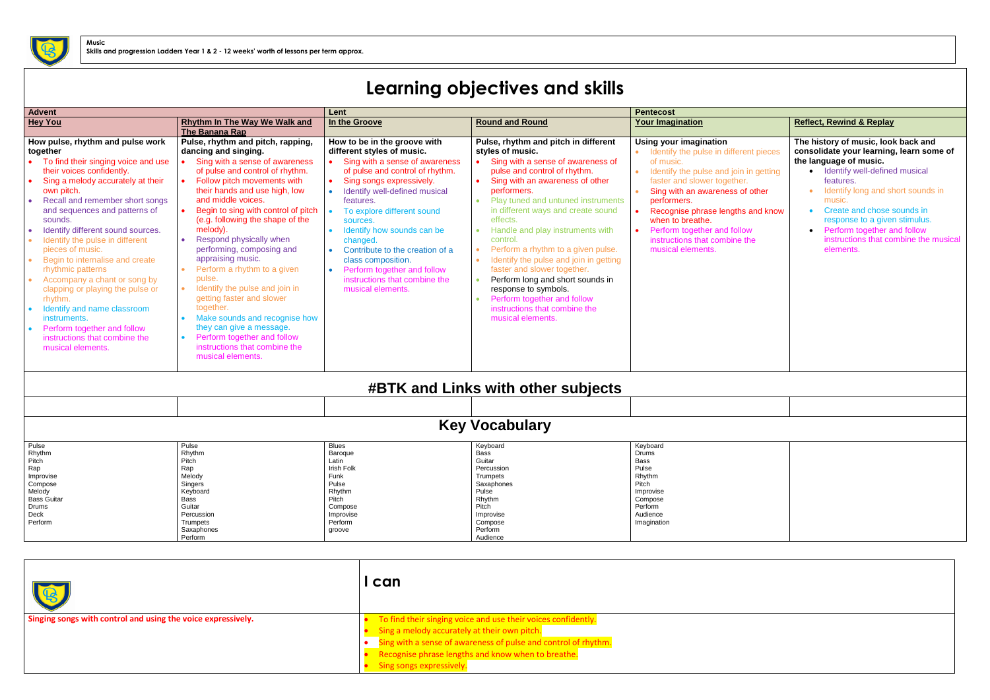## **Learning objectives and skills**

| <b>Advent</b>                                                                                                                                                                                                                                                                                                                                                                                                                                                                                                                                                                                                             |                                                                                                                                                                                                                                                                                                                                                                                                                                                                                                                                                                                                                                                                 | Lent                                                                                                                                                                                                                                                                                                                                                                                                                                                           |                                                                                                                                                                                                                                                                                                                                                                                                                                                                                                                                                                                                                                               | <b>Pentecost</b>                                                                                                                                                                                                                                                                                                                                                |                                                                                                                                                                                                                                                                                                                                                                           |  |  |
|---------------------------------------------------------------------------------------------------------------------------------------------------------------------------------------------------------------------------------------------------------------------------------------------------------------------------------------------------------------------------------------------------------------------------------------------------------------------------------------------------------------------------------------------------------------------------------------------------------------------------|-----------------------------------------------------------------------------------------------------------------------------------------------------------------------------------------------------------------------------------------------------------------------------------------------------------------------------------------------------------------------------------------------------------------------------------------------------------------------------------------------------------------------------------------------------------------------------------------------------------------------------------------------------------------|----------------------------------------------------------------------------------------------------------------------------------------------------------------------------------------------------------------------------------------------------------------------------------------------------------------------------------------------------------------------------------------------------------------------------------------------------------------|-----------------------------------------------------------------------------------------------------------------------------------------------------------------------------------------------------------------------------------------------------------------------------------------------------------------------------------------------------------------------------------------------------------------------------------------------------------------------------------------------------------------------------------------------------------------------------------------------------------------------------------------------|-----------------------------------------------------------------------------------------------------------------------------------------------------------------------------------------------------------------------------------------------------------------------------------------------------------------------------------------------------------------|---------------------------------------------------------------------------------------------------------------------------------------------------------------------------------------------------------------------------------------------------------------------------------------------------------------------------------------------------------------------------|--|--|
| <b>Hey You</b>                                                                                                                                                                                                                                                                                                                                                                                                                                                                                                                                                                                                            | Rhythm In The Way We Walk and<br>The Banana Rap                                                                                                                                                                                                                                                                                                                                                                                                                                                                                                                                                                                                                 | In the Groove                                                                                                                                                                                                                                                                                                                                                                                                                                                  | <b>Round and Round</b>                                                                                                                                                                                                                                                                                                                                                                                                                                                                                                                                                                                                                        | <b>Your Imagination</b>                                                                                                                                                                                                                                                                                                                                         | <b>Reflect, Rewind &amp; Replay</b>                                                                                                                                                                                                                                                                                                                                       |  |  |
| How pulse, rhythm and pulse work<br>together<br>To find their singing voice and use<br>their voices confidently.<br>Sing a melody accurately at their<br>own pitch.<br>Recall and remember short songs<br>and sequences and patterns of<br>sounds.<br>Identify different sound sources.<br>Identify the pulse in different<br>pieces of music.<br>Begin to internalise and create<br>rhythmic patterns<br>Accompany a chant or song by<br>clapping or playing the pulse or<br>rhythm.<br>Identify and name classroom<br>instruments.<br>Perform together and follow<br>instructions that combine the<br>musical elements. | Pulse, rhythm and pitch, rapping,<br>dancing and singing.<br>Sing with a sense of awareness<br>of pulse and control of rhythm.<br>Follow pitch movements with<br>their hands and use high, low<br>and middle voices.<br>Begin to sing with control of pitch<br>(e.g. following the shape of the<br>melody).<br>Respond physically when<br>performing, composing and<br>appraising music.<br>Perform a rhythm to a given<br>pulse.<br>Identify the pulse and join in<br>getting faster and slower<br>together.<br>Make sounds and recognise how<br>they can give a message.<br>Perform together and follow<br>instructions that combine the<br>musical elements. | How to be in the groove with<br>different styles of music.<br>Sing with a sense of awareness<br>of pulse and control of rhythm.<br>Sing songs expressively.<br>• Identify well-defined musical<br>features.<br>To explore different sound<br>sources.<br>• Identify how sounds can be<br>changed.<br>Contribute to the creation of a<br>$\bullet$<br>class composition.<br>• Perform together and follow<br>instructions that combine the<br>musical elements. | Pulse, rhythm and pitch in different<br>styles of music.<br>Sing with a sense of awareness of<br>$\bullet$<br>pulse and control of rhythm.<br>Sing with an awareness of other<br>$\bullet$<br>performers.<br>• Play tuned and untuned instruments<br>in different ways and create sound<br>effects.<br>Handle and play instruments with<br>$\bullet$<br>control.<br>Perform a rhythm to a given pulse.<br>Identify the pulse and join in getting<br>$\bullet$<br>faster and slower together.<br>Perform long and short sounds in<br>response to symbols.<br>Perform together and follow<br>instructions that combine the<br>musical elements. | <b>Using your imagination</b><br>• Identify the pulse in different pieces<br>of music.<br>Identify the pulse and join in getting<br>faster and slower together.<br>Sing with an awareness of other<br>performers.<br>Recognise phrase lengths and know<br>when to breathe.<br>Perform together and follow<br>instructions that combine the<br>musical elements. | The history of music, look back and<br>consolidate your learning, learn some of<br>the language of music.<br>• Identify well-defined musical<br>features.<br>Identify long and short sounds in<br>music.<br>Create and chose sounds in<br>$\bullet$<br>response to a given stimulus.<br>Perform together and follow<br>instructions that combine the musical<br>elements. |  |  |
|                                                                                                                                                                                                                                                                                                                                                                                                                                                                                                                                                                                                                           |                                                                                                                                                                                                                                                                                                                                                                                                                                                                                                                                                                                                                                                                 |                                                                                                                                                                                                                                                                                                                                                                                                                                                                | <b>#BTK and Links with other subjects</b>                                                                                                                                                                                                                                                                                                                                                                                                                                                                                                                                                                                                     |                                                                                                                                                                                                                                                                                                                                                                 |                                                                                                                                                                                                                                                                                                                                                                           |  |  |
|                                                                                                                                                                                                                                                                                                                                                                                                                                                                                                                                                                                                                           |                                                                                                                                                                                                                                                                                                                                                                                                                                                                                                                                                                                                                                                                 |                                                                                                                                                                                                                                                                                                                                                                                                                                                                |                                                                                                                                                                                                                                                                                                                                                                                                                                                                                                                                                                                                                                               |                                                                                                                                                                                                                                                                                                                                                                 |                                                                                                                                                                                                                                                                                                                                                                           |  |  |
| <b>Key Vocabulary</b>                                                                                                                                                                                                                                                                                                                                                                                                                                                                                                                                                                                                     |                                                                                                                                                                                                                                                                                                                                                                                                                                                                                                                                                                                                                                                                 |                                                                                                                                                                                                                                                                                                                                                                                                                                                                |                                                                                                                                                                                                                                                                                                                                                                                                                                                                                                                                                                                                                                               |                                                                                                                                                                                                                                                                                                                                                                 |                                                                                                                                                                                                                                                                                                                                                                           |  |  |
| Pulse<br>Rhythm<br>Pitch<br>Rap<br>Improvise<br>Compose<br>Melody<br><b>Bass Guitar</b><br>Drums<br>Deck<br>Perform                                                                                                                                                                                                                                                                                                                                                                                                                                                                                                       | Pulse<br>Rhythm<br>Pitch<br>Rap<br>Melody<br>Singers<br>Keyboard<br>Bass<br>Guitar<br>Percussion<br>Trumpets<br>Saxaphones<br>Perform                                                                                                                                                                                                                                                                                                                                                                                                                                                                                                                           | <b>Blues</b><br>Baroque<br>Latin<br>Irish Folk<br>Funk<br>Pulse<br>Rhythm<br>Pitch<br>Compose<br>Improvise<br>Perform<br>groove                                                                                                                                                                                                                                                                                                                                | Keyboard<br><b>Bass</b><br>Guitar<br>Percussion<br>Trumpets<br>Saxaphones<br>Pulse<br>Rhythm<br>Pitch<br>Improvise<br>Compose<br>Perform<br>Audience                                                                                                                                                                                                                                                                                                                                                                                                                                                                                          | Keyboard<br><b>Drums</b><br>Bass<br>Pulse<br>Rhythm<br>Pitch<br>Improvise<br>Compose<br>Perform<br>Audience<br>Imagination                                                                                                                                                                                                                                      |                                                                                                                                                                                                                                                                                                                                                                           |  |  |

| Pulse              | Pulse      | <b>Blues</b> | Keyboard        | Keyboard    |
|--------------------|------------|--------------|-----------------|-------------|
| Rhythm             | Rhvthm     | Baroque      | Bass            | Drums       |
| Pitch              | Pitch      | Latin        | Guitar          | Bass        |
| Rap                | Rap        | Irish Folk   | Percussion      | Pulse       |
| Improvise          | Melody     | Funk         | <b>Trumpets</b> | Rhythm      |
| Compose            | Singers    | Pulse        | Saxaphones      | Pitch       |
| Melody             | Keyboard   | Rhythm       | Pulse           | Improvise   |
| <b>Bass Guitar</b> | Bass       | Pitch        | Rhythm          | Compose     |
| Drums              | Guitar     | Compose      | Pitch           | Perform     |
| Deck               | Percussion | Improvise    | Improvise       | Audience    |
| Perform            | Trumpets   | Perform      | Compose         | Imagination |
|                    | Saxaphones | groove       | Perform         |             |
|                    | Perform    |              | Audience        |             |

|                                                              | I can                                                          |
|--------------------------------------------------------------|----------------------------------------------------------------|
| Singing songs with control and using the voice expressively. | To find their singing voice and use their voices confidently.  |
|                                                              | Sing a melody accurately at their own pitch.                   |
|                                                              | Sing with a sense of awareness of pulse and control of rhythm. |
|                                                              | Recognise phrase lengths and know when to breathe.             |
|                                                              | Sing songs expressively.                                       |